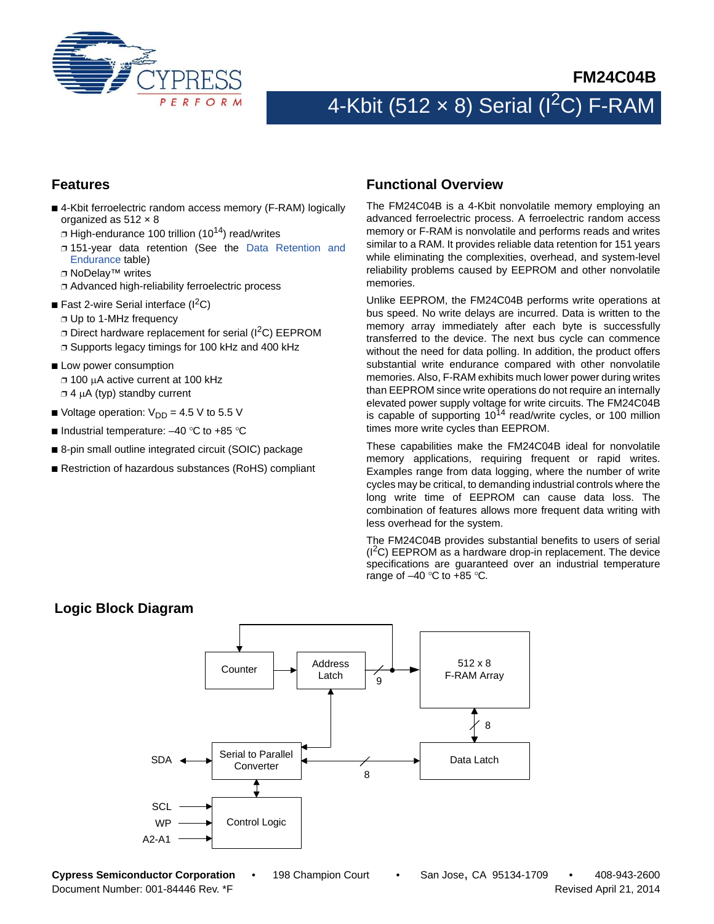

# 4-Kbit (512  $\times$  8) Serial (I<sup>2</sup>C) F-RAM

#### **Features**

- 4-Kbit ferroelectric random access memory (F-RAM) logically organized as  $512 \times 8$ 
	- $\Box$  High-endurance 100 trillion (10<sup>14</sup>) read/writes
	- ❐ 151-year data retention (See the [Data Retention and](#page-9-0) [Endurance](#page-9-0) table)
	- ❐ NoDelay™ writes
	- ❐ Advanced high-reliability ferroelectric process
- Fast 2-wire Serial interface  $(I^2C)$ 
	- ❐ Up to 1-MHz frequency
	- $\Box$  Direct hardware replacement for serial ( $\rm{I}^2C$ ) EEPROM
	- ❐ Supports legacy timings for 100 kHz and 400 kHz
- Low power consumption ❐ 100 A active current at 100 kHz  $\Box$  4  $\mu$ A (typ) standby current
- Voltage operation:  $V_{DD} = 4.5 V$  to 5.5 V
- Industrial temperature:  $-40$  °C to +85 °C
- 8-pin small outline integrated circuit (SOIC) package
- Restriction of hazardous substances (RoHS) compliant

#### **Functional Overview**

The FM24C04B is a 4-Kbit nonvolatile memory employing an advanced ferroelectric process. A ferroelectric random access memory or F-RAM is nonvolatile and performs reads and writes similar to a RAM. It provides reliable data retention for 151 years while eliminating the complexities, overhead, and system-level reliability problems caused by EEPROM and other nonvolatile memories.

Unlike EEPROM, the FM24C04B performs write operations at bus speed. No write delays are incurred. Data is written to the memory array immediately after each byte is successfully transferred to the device. The next bus cycle can commence without the need for data polling. In addition, the product offers substantial write endurance compared with other nonvolatile memories. Also, F-RAM exhibits much lower power during writes than EEPROM since write operations do not require an internally elevated power supply voltage for write circuits. The FM24C04B is capable of supporting  $10^{14}$  read/write cycles, or 100 million times more write cycles than EEPROM.

These capabilities make the FM24C04B ideal for nonvolatile memory applications, requiring frequent or rapid writes. Examples range from data logging, where the number of write cycles may be critical, to demanding industrial controls where the long write time of EEPROM can cause data loss. The combination of features allows more frequent data writing with less overhead for the system.

The FM24C04B provides substantial benefits to users of serial  $(1^2C)$  EEPROM as a hardware drop-in replacement. The device specifications are guaranteed over an industrial temperature range of  $-40$  °C to  $+85$  °C.

#### Address Latch 512 x 8 F-RAM Array Data Latch 8 SDA Counter Serial to Parallel **Converter** Control Logic **SCL** WP A2-A1 9 8

### **Logic Block Diagram**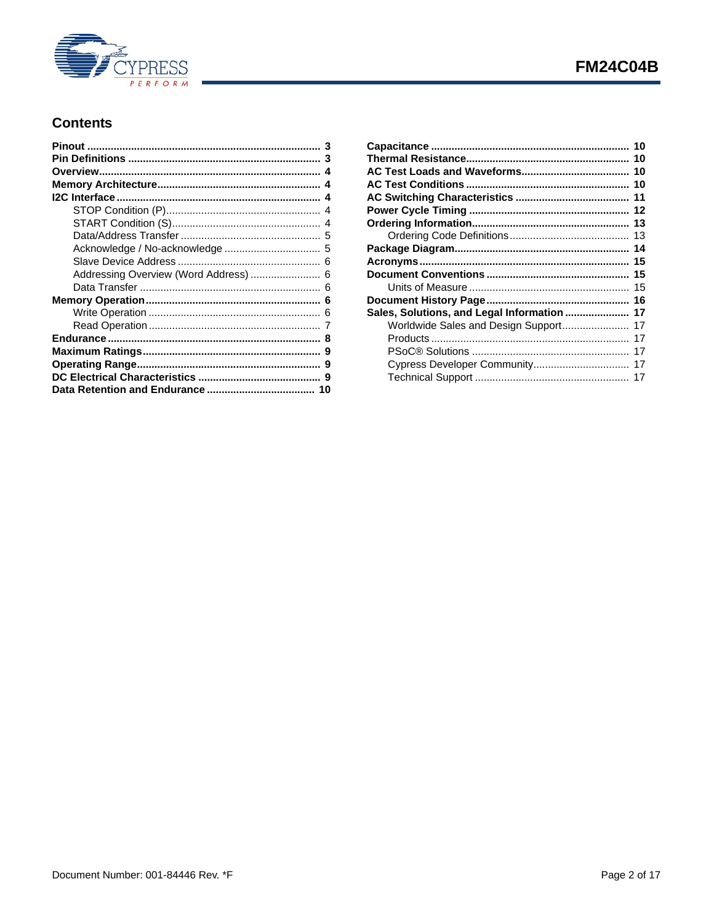

### **Contents**

| Addressing Overview (Word Address)  6 |  |
|---------------------------------------|--|
|                                       |  |
|                                       |  |
|                                       |  |
|                                       |  |
|                                       |  |
|                                       |  |
|                                       |  |
|                                       |  |
|                                       |  |
|                                       |  |

| Sales, Solutions, and Legal Information  17 |  |
|---------------------------------------------|--|
| Worldwide Sales and Design Support 17       |  |
|                                             |  |
|                                             |  |
|                                             |  |
|                                             |  |
|                                             |  |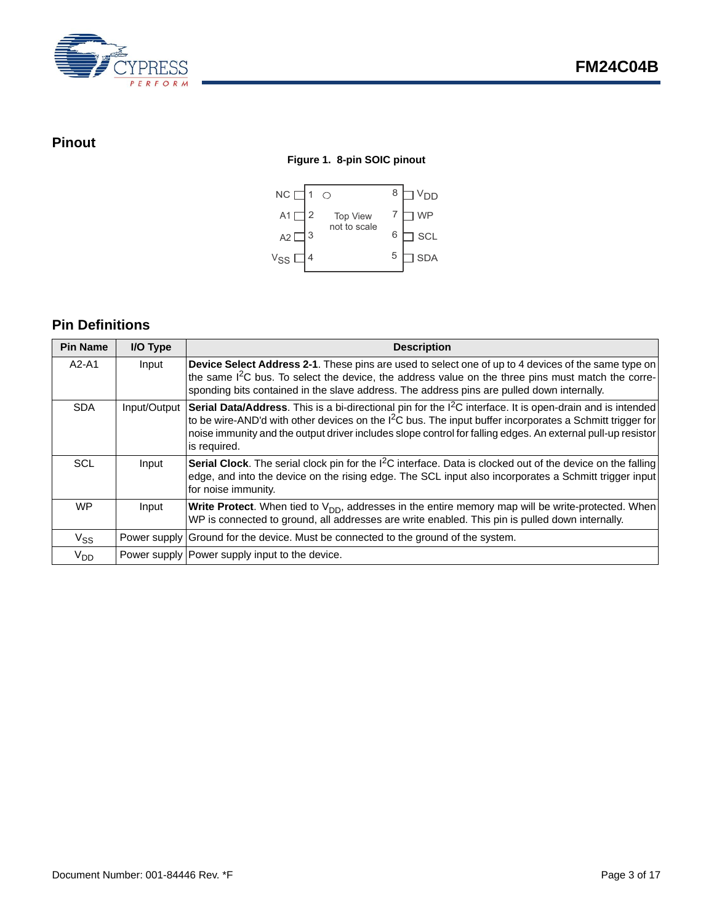

### <span id="page-2-0"></span>**Pinout**

#### **Figure 1. 8-pin SOIC pinout**



### <span id="page-2-1"></span>**Pin Definitions**

| <b>Pin Name</b> | I/O Type     | <b>Description</b>                                                                                                                                                                                                                                                                                                                                                 |
|-----------------|--------------|--------------------------------------------------------------------------------------------------------------------------------------------------------------------------------------------------------------------------------------------------------------------------------------------------------------------------------------------------------------------|
| A2-A1           | Input        | Device Select Address 2-1. These pins are used to select one of up to 4 devices of the same type on<br>the same I <sup>2</sup> C bus. To select the device, the address value on the three pins must match the corre-<br>sponding bits contained in the slave address. The address pins are pulled down internally.                                                |
| <b>SDA</b>      | Input/Output | Serial Data/Address. This is a bi-directional pin for the I <sup>2</sup> C interface. It is open-drain and is intended<br>to be wire-AND'd with other devices on the $l2C$ bus. The input buffer incorporates a Schmitt trigger for<br>noise immunity and the output driver includes slope control for falling edges. An external pull-up resistor<br>is required. |
| <b>SCL</b>      | Input        | <b>Serial Clock</b> . The serial clock pin for the $1^2C$ interface. Data is clocked out of the device on the falling<br>edge, and into the device on the rising edge. The SCL input also incorporates a Schmitt trigger input<br>for noise immunity.                                                                                                              |
| <b>WP</b>       | Input        | <b>Write Protect.</b> When tied to $V_{DD}$ , addresses in the entire memory map will be write-protected. When<br>WP is connected to ground, all addresses are write enabled. This pin is pulled down internally.                                                                                                                                                  |
| $V_{SS}$        |              | Power supply Ground for the device. Must be connected to the ground of the system.                                                                                                                                                                                                                                                                                 |
| $V_{DD}$        |              | Power supply Power supply input to the device.                                                                                                                                                                                                                                                                                                                     |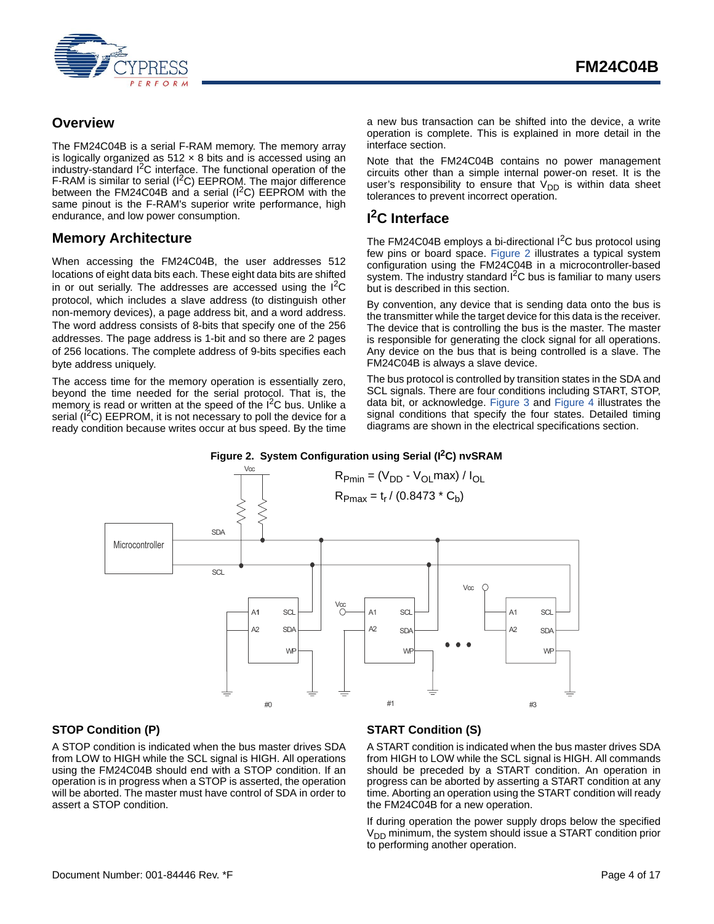

### <span id="page-3-0"></span>**Overview**

The FM24C04B is a serial F-RAM memory. The memory array is logically organized as  $512 \times 8$  bits and is accessed using an industry-standard I<sup>2</sup>C interface. The functional operation of the F-RAM is similar to serial  $(I^2C)$  EEPROM. The major difference between the FM24C04B and a serial  $(I^2C)$  EEPROM with the same pinout is the F-RAM's superior write performance, high endurance, and low power consumption.

### <span id="page-3-1"></span>**Memory Architecture**

When accessing the FM24C04B, the user addresses 512 locations of eight data bits each. These eight data bits are shifted in or out serially. The addresses are accessed using the  $1^2C$ protocol, which includes a slave address (to distinguish other non-memory devices), a page address bit, and a word address. The word address consists of 8-bits that specify one of the 256 addresses. The page address is 1-bit and so there are 2 pages of 256 locations. The complete address of 9-bits specifies each byte address uniquely.

The access time for the memory operation is essentially zero, beyond the time needed for the serial protocol. That is, the memory is read or written at the speed of the  $1<sup>2</sup>C$  bus. Unlike a serial  $(I^2C)$  EEPROM, it is not necessary to poll the device for a ready condition because writes occur at bus speed. By the time a new bus transaction can be shifted into the device, a write operation is complete. This is explained in more detail in the interface section.

Note that the FM24C04B contains no power management circuits other than a simple internal power-on reset. It is the user's responsibility to ensure that  $V_{DD}$  is within data sheet tolerances to prevent incorrect operation.

### <span id="page-3-2"></span>**I 2C Interface**

The FM24C04B employs a bi-directional  $1<sup>2</sup>C$  bus protocol using few pins or board space. [Figure 2](#page-3-5) illustrates a typical system configuration using the FM24C04B in a microcontroller-based system. The industry standard  $I<sup>2</sup>C$  bus is familiar to many users but is described in this section.

By convention, any device that is sending data onto the bus is the transmitter while the target device for this data is the receiver. The device that is controlling the bus is the master. The master is responsible for generating the clock signal for all operations. Any device on the bus that is being controlled is a slave. The FM24C04B is always a slave device.

The bus protocol is controlled by transition states in the SDA and SCL signals. There are four conditions including START, STOP, data bit, or acknowledge. [Figure 3](#page-4-2) and [Figure 4](#page-4-3) illustrates the signal conditions that specify the four states. Detailed timing diagrams are shown in the electrical specifications section.

#### Figure 2. System Configuration using Serial (I<sup>2</sup>C) nvSRAM

<span id="page-3-5"></span>

#### <span id="page-3-3"></span>**STOP Condition (P)**

A STOP condition is indicated when the bus master drives SDA from LOW to HIGH while the SCL signal is HIGH. All operations using the FM24C04B should end with a STOP condition. If an operation is in progress when a STOP is asserted, the operation will be aborted. The master must have control of SDA in order to assert a STOP condition.

#### <span id="page-3-4"></span>**START Condition (S)**

A START condition is indicated when the bus master drives SDA from HIGH to LOW while the SCL signal is HIGH. All commands should be preceded by a START condition. An operation in progress can be aborted by asserting a START condition at any time. Aborting an operation using the START condition will ready the FM24C04B for a new operation.

If during operation the power supply drops below the specified  $V<sub>DD</sub>$  minimum, the system should issue a START condition prior to performing another operation.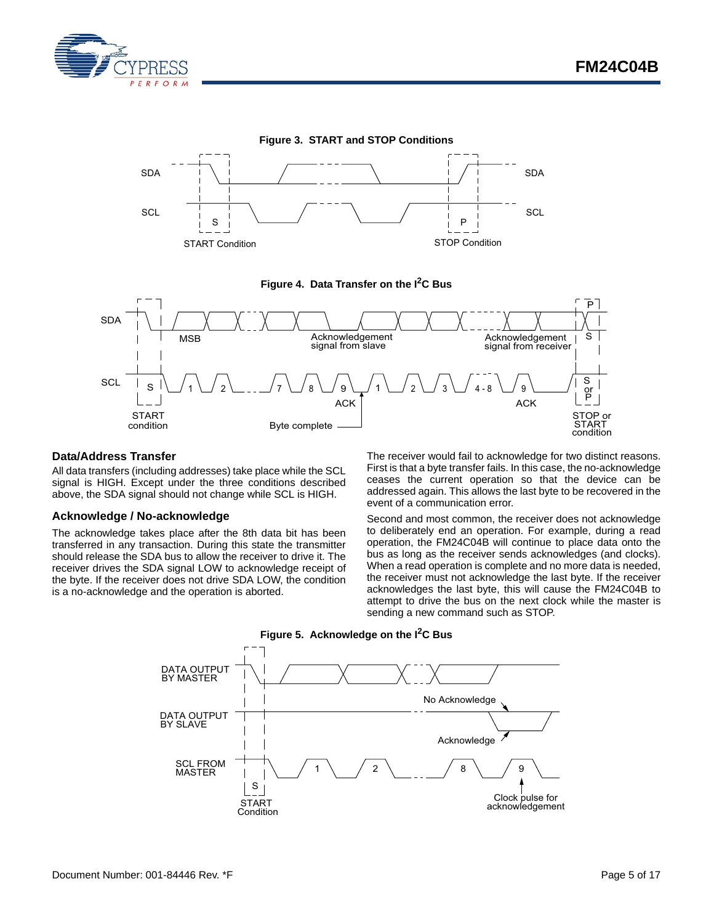

<span id="page-4-2"></span>



<span id="page-4-3"></span>

#### <span id="page-4-0"></span>**Data/Address Transfer**

All data transfers (including addresses) take place while the SCL signal is HIGH. Except under the three conditions described above, the SDA signal should not change while SCL is HIGH.

#### <span id="page-4-1"></span>**Acknowledge / No-acknowledge**

The acknowledge takes place after the 8th data bit has been transferred in any transaction. During this state the transmitter should release the SDA bus to allow the receiver to drive it. The receiver drives the SDA signal LOW to acknowledge receipt of the byte. If the receiver does not drive SDA LOW, the condition is a no-acknowledge and the operation is aborted.

The receiver would fail to acknowledge for two distinct reasons. First is that a byte transfer fails. In this case, the no-acknowledge ceases the current operation so that the device can be addressed again. This allows the last byte to be recovered in the event of a communication error.

Second and most common, the receiver does not acknowledge to deliberately end an operation. For example, during a read operation, the FM24C04B will continue to place data onto the bus as long as the receiver sends acknowledges (and clocks). When a read operation is complete and no more data is needed, the receiver must not acknowledge the last byte. If the receiver acknowledges the last byte, this will cause the FM24C04B to attempt to drive the bus on the next clock while the master is sending a new command such as STOP.



**Figure 5. Acknowledge on the I2C Bus**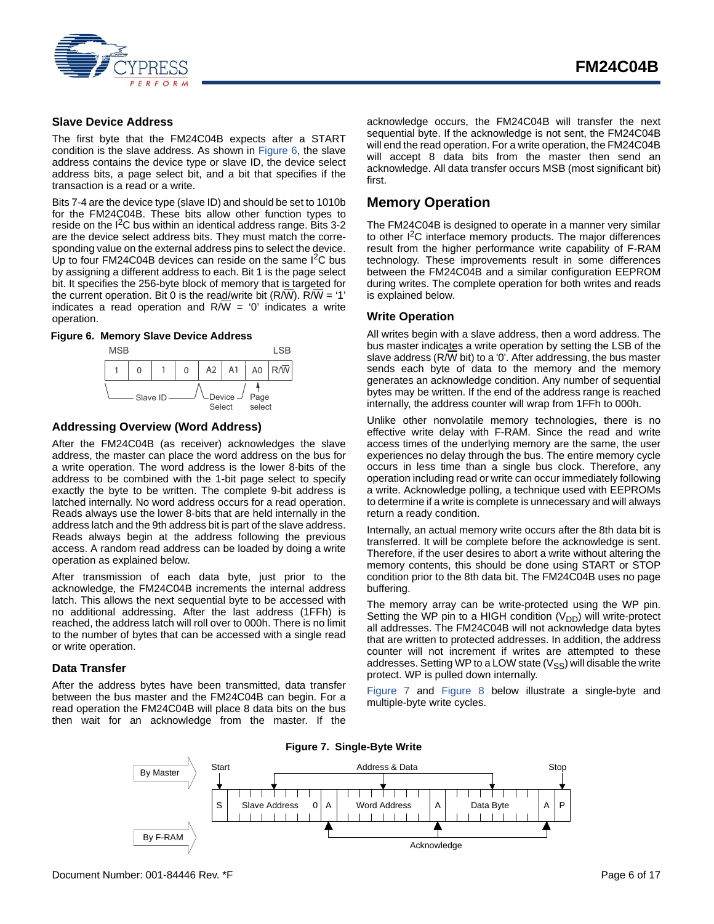

#### <span id="page-5-0"></span>**Slave Device Address**

The first byte that the FM24C04B expects after a START condition is the slave address. As shown in [Figure 6](#page-5-6), the slave address contains the device type or slave ID, the device select address bits, a page select bit, and a bit that specifies if the transaction is a read or a write.

Bits 7-4 are the device type (slave ID) and should be set to 1010b for the FM24C04B. These bits allow other function types to reside on the  $I^2C$  bus within an identical address range. Bits 3-2 are the device select address bits. They must match the corresponding value on the external address pins to select the device. Up to four FM24C04B devices can reside on the same  $I^2C$  bus by assigning a different address to each. Bit 1 is the page select bit. It specifies the 256-byte block of memory that is targeted for the current operation. Bit 0 is the read/write bit  $(R/W)$ .  $R/W = '1'$ indicates a read operation and  $R/W = '0'$  indicates a write operation.

#### <span id="page-5-6"></span>**Figure 6. Memory Slave Device Address**



#### <span id="page-5-1"></span>**Addressing Overview (Word Address)**

After the FM24C04B (as receiver) acknowledges the slave address, the master can place the word address on the bus for a write operation. The word address is the lower 8-bits of the address to be combined with the 1-bit page select to specify exactly the byte to be written. The complete 9-bit address is latched internally. No word address occurs for a read operation. Reads always use the lower 8-bits that are held internally in the address latch and the 9th address bit is part of the slave address. Reads always begin at the address following the previous access. A random read address can be loaded by doing a write operation as explained below.

After transmission of each data byte, just prior to the acknowledge, the FM24C04B increments the internal address latch. This allows the next sequential byte to be accessed with no additional addressing. After the last address (1FFh) is reached, the address latch will roll over to 000h. There is no limit to the number of bytes that can be accessed with a single read or write operation.

#### <span id="page-5-2"></span>**Data Transfer**

<span id="page-5-5"></span>After the address bytes have been transmitted, data transfer between the bus master and the FM24C04B can begin. For a read operation the FM24C04B will place 8 data bits on the bus then wait for an acknowledge from the master. If the acknowledge occurs, the FM24C04B will transfer the next sequential byte. If the acknowledge is not sent, the FM24C04B will end the read operation. For a write operation, the FM24C04B will accept 8 data bits from the master then send an acknowledge. All data transfer occurs MSB (most significant bit) first.

#### <span id="page-5-3"></span>**Memory Operation**

The FM24C04B is designed to operate in a manner very similar to other I<sup>2</sup>C interface memory products. The major differences result from the higher performance write capability of F-RAM technology. These improvements result in some differences between the FM24C04B and a similar configuration EEPROM during writes. The complete operation for both writes and reads is explained below.

#### <span id="page-5-4"></span>**Write Operation**

All writes begin with a slave address, then a word address. The bus master indicates a write operation by setting the LSB of the slave address (R/W bit) to a '0'. After addressing, the bus master sends each byte of data to the memory and the memory generates an acknowledge condition. Any number of sequential bytes may be written. If the end of the address range is reached internally, the address counter will wrap from 1FFh to 000h.

Unlike other nonvolatile memory technologies, there is no effective write delay with F-RAM. Since the read and write access times of the underlying memory are the same, the user experiences no delay through the bus. The entire memory cycle occurs in less time than a single bus clock. Therefore, any operation including read or write can occur immediately following a write. Acknowledge polling, a technique used with EEPROMs to determine if a write is complete is unnecessary and will always return a ready condition.

Internally, an actual memory write occurs after the 8th data bit is transferred. It will be complete before the acknowledge is sent. Therefore, if the user desires to abort a write without altering the memory contents, this should be done using START or STOP condition prior to the 8th data bit. The FM24C04B uses no page buffering.

The memory array can be write-protected using the WP pin. Setting the WP pin to a HIGH condition  $(V_{DD})$  will write-protect all addresses. The FM24C04B will not acknowledge data bytes that are written to protected addresses. In addition, the address counter will not increment if writes are attempted to these addresses. Setting WP to a LOW state  $(V_{SS})$  will disable the write protect. WP is pulled down internally.

[Figure 7](#page-5-5) and [Figure 8](#page-6-1) below illustrate a single-byte and multiple-byte write cycles.



**Figure 7. Single-Byte Write**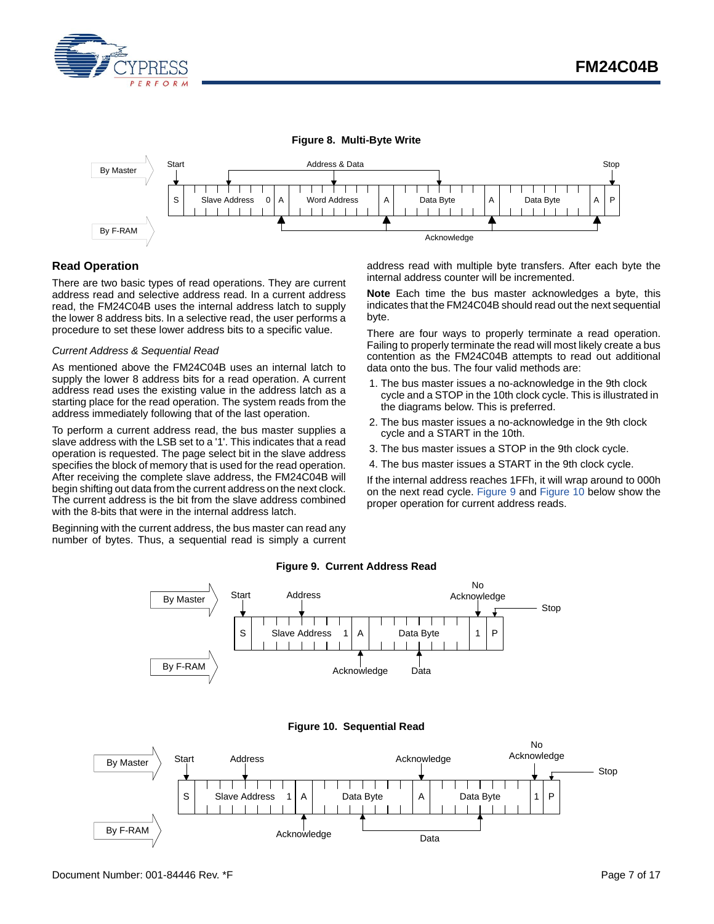

<span id="page-6-1"></span>

#### <span id="page-6-0"></span>**Read Operation**

There are two basic types of read operations. They are current address read and selective address read. In a current address read, the FM24C04B uses the internal address latch to supply the lower 8 address bits. In a selective read, the user performs a procedure to set these lower address bits to a specific value.

#### *Current Address & Sequential Read*

As mentioned above the FM24C04B uses an internal latch to supply the lower 8 address bits for a read operation. A current address read uses the existing value in the address latch as a starting place for the read operation. The system reads from the address immediately following that of the last operation.

To perform a current address read, the bus master supplies a slave address with the LSB set to a '1'. This indicates that a read operation is requested. The page select bit in the slave address specifies the block of memory that is used for the read operation. After receiving the complete slave address, the FM24C04B will begin shifting out data from the current address on the next clock. The current address is the bit from the slave address combined with the 8-bits that were in the internal address latch.

<span id="page-6-2"></span>Beginning with the current address, the bus master can read any number of bytes. Thus, a sequential read is simply a current address read with multiple byte transfers. After each byte the internal address counter will be incremented.

**Note** Each time the bus master acknowledges a byte, this indicates that the FM24C04B should read out the next sequential byte.

There are four ways to properly terminate a read operation. Failing to properly terminate the read will most likely create a bus contention as the FM24C04B attempts to read out additional data onto the bus. The four valid methods are:

- 1. The bus master issues a no-acknowledge in the 9th clock cycle and a STOP in the 10th clock cycle. This is illustrated in the diagrams below. This is preferred.
- 2. The bus master issues a no-acknowledge in the 9th clock cycle and a START in the 10th.
- 3. The bus master issues a STOP in the 9th clock cycle.
- 4. The bus master issues a START in the 9th clock cycle.

If the internal address reaches 1FFh, it will wrap around to 000h on the next read cycle. [Figure 9](#page-6-2) and [Figure 10](#page-6-3) below show the proper operation for current address reads.

<span id="page-6-3"></span>

#### **Figure 9. Current Address Read**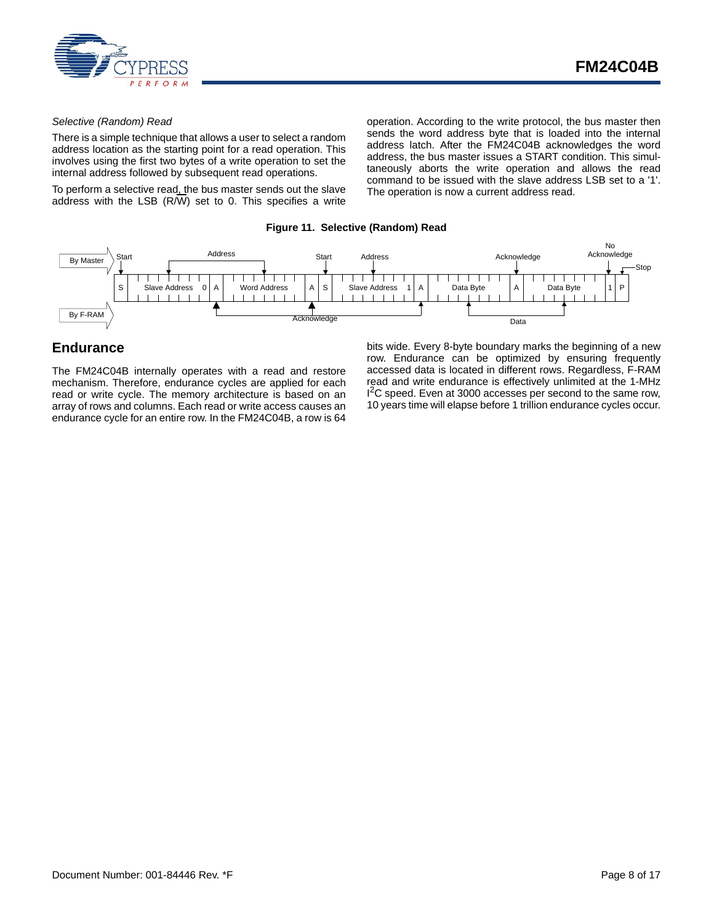

#### *Selective (Random) Read*

There is a simple technique that allows a user to select a random address location as the starting point for a read operation. This involves using the first two bytes of a write operation to set the internal address followed by subsequent read operations.

To perform a selective read, the bus master sends out the slave address with the LSB (R/W) set to 0. This specifies a write operation. According to the write protocol, the bus master then sends the word address byte that is loaded into the internal address latch. After the FM24C04B acknowledges the word address, the bus master issues a START condition. This simultaneously aborts the write operation and allows the read command to be issued with the slave address LSB set to a '1'. The operation is now a current address read.

#### **Figure 11. Selective (Random) Read**



#### <span id="page-7-0"></span>**Endurance**

The FM24C04B internally operates with a read and restore mechanism. Therefore, endurance cycles are applied for each read or write cycle. The memory architecture is based on an array of rows and columns. Each read or write access causes an endurance cycle for an entire row. In the FM24C04B, a row is 64 bits wide. Every 8-byte boundary marks the beginning of a new row. Endurance can be optimized by ensuring frequently accessed data is located in different rows. Regardless, F-RAM read and write endurance is effectively unlimited at the 1-MHz <sup>2</sup>C speed. Even at 3000 accesses per second to the same row, 10 years time will elapse before 1 trillion endurance cycles occur.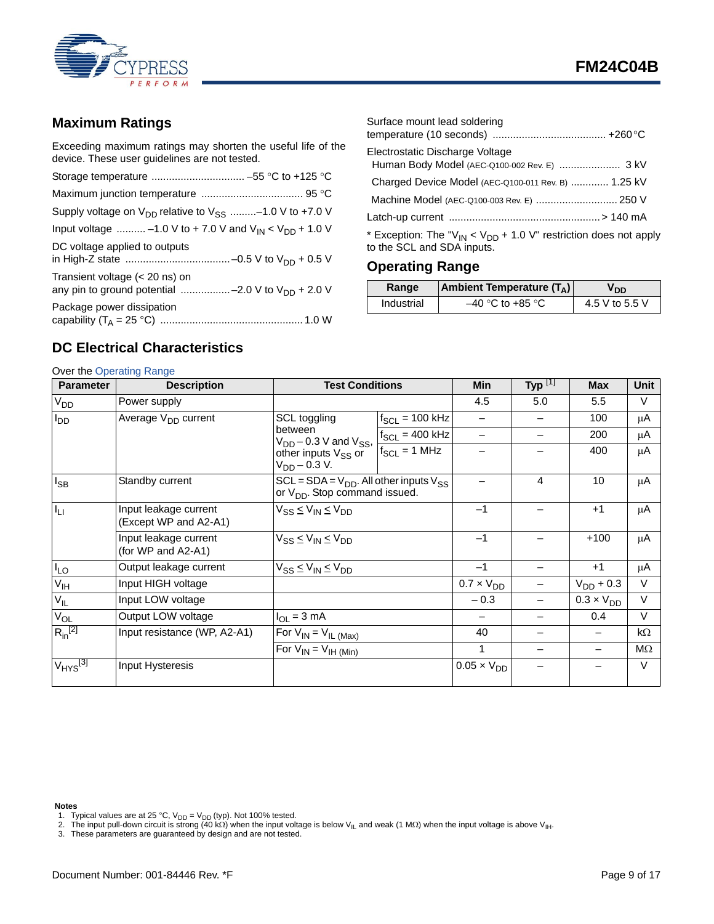

### <span id="page-8-0"></span>**Maximum Ratings**

Exceeding maximum ratings may shorten the useful life of the device. These user guidelines are not tested.

| Supply voltage on $V_{DD}$ relative to $V_{SS}$ -1.0 V to +7.0 V                           |
|--------------------------------------------------------------------------------------------|
| Input voltage  -1.0 V to + 7.0 V and $V_{IN}$ < $V_{DD}$ + 1.0 V                           |
| DC voltage applied to outputs                                                              |
| Transient voltage $(< 20$ ns) on<br>any pin to ground potential -2.0 V to $V_{DD}$ + 2.0 V |
| Package power dissipation                                                                  |

| Surface mount lead soldering                                                                                          |  |
|-----------------------------------------------------------------------------------------------------------------------|--|
|                                                                                                                       |  |
| Electrostatic Discharge Voltage                                                                                       |  |
| Human Body Model (AEC-Q100-002 Rev. E)  3 kV                                                                          |  |
| Charged Device Model (AEC-Q100-011 Rev. B)  1.25 kV                                                                   |  |
| Machine Model (AEC-Q100-003 Rev. E)  250 V                                                                            |  |
|                                                                                                                       |  |
| * Exception: The "V <sub>IN</sub> < V <sub>DD</sub> + 1.0 V" restriction does not apply<br>to the SCL and SDA inputs. |  |

### <span id="page-8-1"></span>**Operating Range**

| Range      | <b>Ambient Temperature (TA)</b> | חח v           |
|------------|---------------------------------|----------------|
| Industrial | $-40$ °C to +85 °C              | 4.5 V to 5.5 V |

### <span id="page-8-2"></span>**DC Electrical Characteristics**

| <b>Parameter</b>         | <b>Description</b>                             | <b>Test Conditions</b>                                                                 |                              | <b>Min</b>           | Typ $^{[1]}$ | <b>Max</b>               | <b>Unit</b> |
|--------------------------|------------------------------------------------|----------------------------------------------------------------------------------------|------------------------------|----------------------|--------------|--------------------------|-------------|
| <b>V<sub>DD</sub></b>    | Power supply                                   |                                                                                        | 4.5                          | 5.0                  | 5.5          | $\vee$                   |             |
| $I_{DD}$                 | Average V <sub>DD</sub> current                | SCL toggling                                                                           | $f_{SCL}$ = 100 kHz          |                      |              | 100                      | μA          |
|                          |                                                | between<br>$V_{DD}$ – 0.3 V and $V_{SS}$ ,                                             | $f_{SCL} = 400$ kHz          |                      |              | 200                      | μA          |
|                          |                                                | other inputs $V_{SS}$ or<br>$V_{DD} - 0.3 V$ .                                         | $f_{SCL} = 1 \overline{MHz}$ |                      |              | 400                      | μA          |
| $I_{SB}$                 | Standby current                                | $SCL = SDA = V_{DD}$ . All other inputs $V_{SS}$<br>or $V_{DD}$ . Stop command issued. |                              | 4                    | 10           | μA                       |             |
| $I_{LI}$                 | Input leakage current<br>(Except WP and A2-A1) | $V_{SS} \leq V_{IN} \leq V_{DD}$                                                       |                              | $-1$                 |              | $+1$                     | μA          |
|                          | Input leakage current<br>(for WP and A2-A1)    | $V_{SS} \leq V_{IN} \leq V_{DD}$                                                       | $-1$                         |                      | $+100$       | μA                       |             |
| $I_{LO}$                 | Output leakage current                         | $V_{SS} \leq V_{IN} \leq V_{DD}$                                                       |                              |                      |              | $+1$                     | μA          |
| $V_{\text{IH}}$          | Input HIGH voltage                             |                                                                                        |                              | $0.7 \times V_{DD}$  |              | $V_{DD}$ + 0.3           | $\vee$      |
| $V_{IL}$                 | Input LOW voltage                              |                                                                                        |                              | $-0.3$               |              | $0.3 \times V_{DD}$      | $\vee$      |
| $V_{OL}$                 | Output LOW voltage                             | $I_{OL} = 3$ mA                                                                        |                              |                      |              | 0.4                      | $\vee$      |
| $R_{in}^{[2]}$           | Input resistance (WP, A2-A1)                   | For $V_{IN} = V_{IL (Max)}$                                                            |                              | 40                   |              |                          | $k\Omega$   |
|                          |                                                | For $V_{IN} = V_{IH (Min)}$                                                            |                              | 1                    |              | $\overline{\phantom{0}}$ | MΩ          |
| $V_{HYS}$ <sup>[3]</sup> | Input Hysteresis                               |                                                                                        |                              | $0.05 \times V_{DD}$ |              |                          | $\vee$      |

#### **Notes**

- <span id="page-8-3"></span>
- <span id="page-8-4"></span>1. Typical values are at 25 °C, V<sub>DD</sub> = V<sub>DD</sub> (typ). Not 100% tested.<br>2. The input pull-down circuit is strong (40 kΩ) when the input voltage is below V<sub>IL</sub> and weak (1 MΩ) when the input voltage is above V<sub>IH</sub>.<br>3. Thes
- <span id="page-8-5"></span>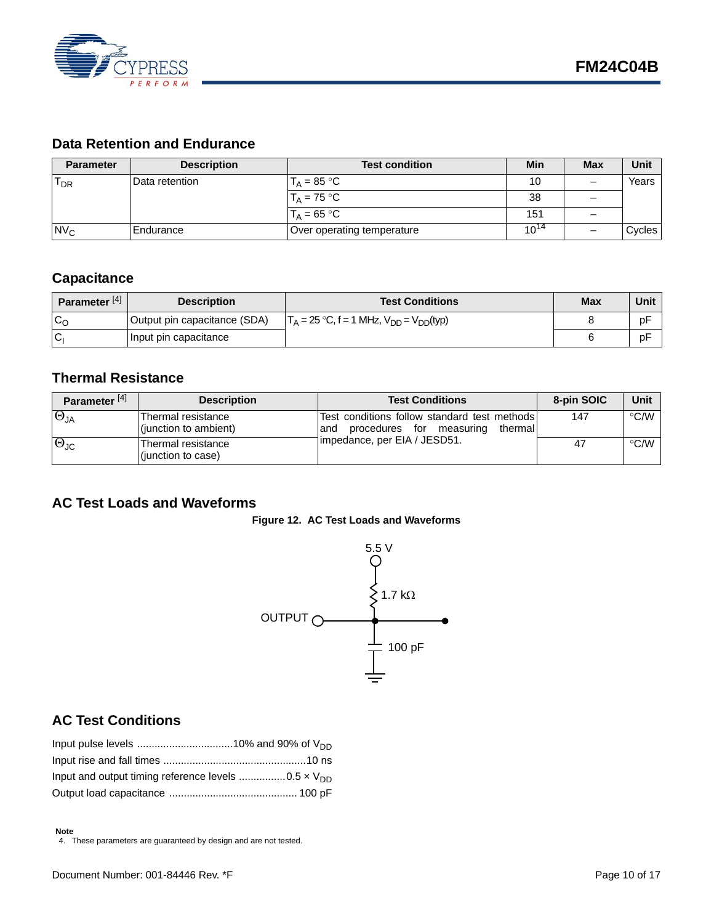

### <span id="page-9-0"></span>**Data Retention and Endurance**

| <b>Parameter</b> | <b>Description</b> | <b>Test condition</b>      | Min       | <b>Max</b> | Unit   |
|------------------|--------------------|----------------------------|-----------|------------|--------|
| $T_{DR}$         | Data retention     | $T_{\text{A}}$ = 85 °C     | 10        |            | Years  |
|                  |                    | $T_A = 75 °C$              | 38        |            |        |
|                  |                    | $T_{\text{A}}$ = 65 °C     | 151       | _          |        |
| N <sub>C</sub>   | <b>IEndurance</b>  | Over operating temperature | $10^{14}$ |            | Cycles |

### <span id="page-9-1"></span>**Capacitance**

| Parameter <sup>[4]</sup> | <b>Description</b>           | <b>Test Conditions</b>                                          | <b>Max</b> | Unit |
|--------------------------|------------------------------|-----------------------------------------------------------------|------------|------|
| C <sub>O</sub>           | Output pin capacitance (SDA) | $T_A = 25 \text{ °C}, f = 1 \text{ MHz}, V_{DD} = V_{DD} (typ)$ |            | pF   |
| <b>C</b>                 | Input pin capacitance        |                                                                 |            | pF   |

### <span id="page-9-2"></span>**Thermal Resistance**

| Parameter <sup>[4]</sup> | <b>Description</b>                          | <b>Test Conditions</b>                                                                     | 8-pin SOIC | Unit               |
|--------------------------|---------------------------------------------|--------------------------------------------------------------------------------------------|------------|--------------------|
| $\Theta_{\sf JA}$        | Thermal resistance<br>(junction to ambient) | Test conditions follow standard test methods<br>procedures for measuring<br>thermal<br>and | 147        | °C/W               |
| $\Theta_{\text{JC}}$     | Thermal resistance<br>(junction to case)    | 1impedance, per EIA / JESD51.                                                              | -47        | $\rm ^{\circ}$ C/W |

### <span id="page-9-6"></span><span id="page-9-3"></span>**AC Test Loads and Waveforms**





### <span id="page-9-4"></span>**AC Test Conditions**

<span id="page-9-5"></span>4. These parameters are guaranteed by design and are not tested.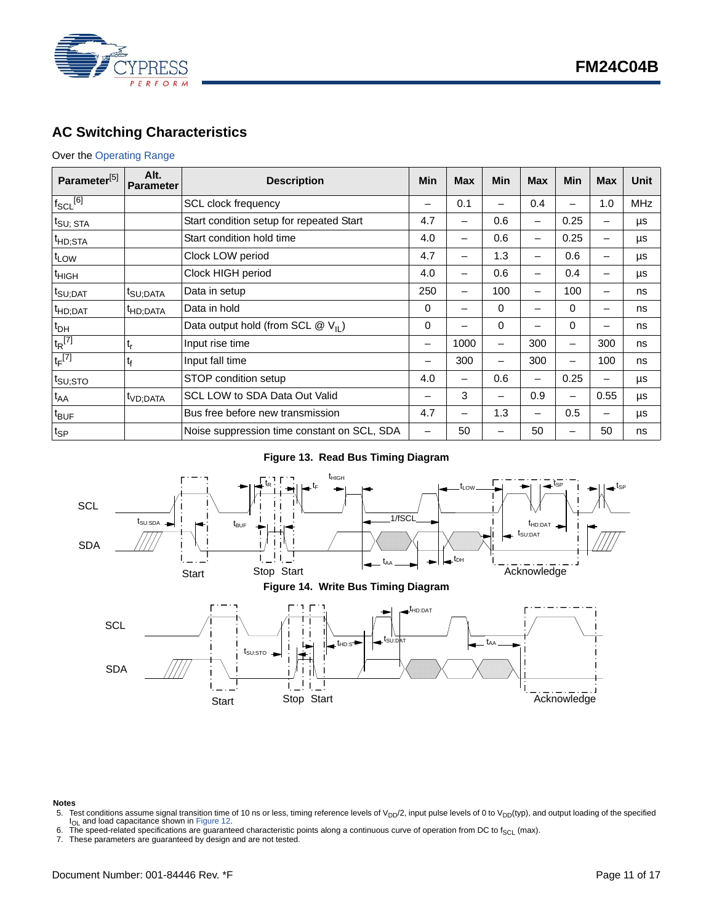

### <span id="page-10-0"></span>**AC Switching Characteristics**

#### Over the [Operating Range](#page-8-1)

| Parameter <sup>[5]</sup> | Alt.<br><b>Parameter</b> | <b>Description</b>                            | Min | <b>Max</b> | Min | <b>Max</b>      | <b>Min</b>               | <b>Max</b>               | Unit       |
|--------------------------|--------------------------|-----------------------------------------------|-----|------------|-----|-----------------|--------------------------|--------------------------|------------|
| $f_{\text{SCL}}^{[6]}$   |                          | <b>SCL clock frequency</b>                    | —   | 0.1        |     | 0.4             | —                        | 1.0                      | <b>MHz</b> |
| $t_{\text{SU}$ ; STA     |                          | Start condition setup for repeated Start      | 4.7 | -          | 0.6 | $\qquad \qquad$ | 0.25                     | $\overline{\phantom{0}}$ | μs         |
| <sup>t</sup> HD;STA      |                          | Start condition hold time                     | 4.0 | -          | 0.6 |                 | 0.25                     | -                        | μs         |
| t <sub>LOW</sub>         |                          | Clock LOW period                              | 4.7 | -          | 1.3 | -               | 0.6                      | —                        | μs         |
| <sup>t</sup> HIGH        |                          | Clock HIGH period                             | 4.0 | -          | 0.6 |                 | 0.4                      | —                        | μs         |
| t <sub>SU;DAT</sub>      | t <sub>SU;DATA</sub>     | Data in setup                                 | 250 | -          | 100 |                 | 100                      | -                        | ns         |
| <sup>t</sup> HD;DAT      | <sup>t</sup> HD;DATA     | Data in hold                                  | 0   | -          | 0   | -               | $\Omega$                 | -                        | ns         |
| $t_{DH}$                 |                          | Data output hold (from SCL $@V_{\text{II}}$ ) | 0   |            | 0   |                 | 0                        | -                        | ns         |
| $t_R$ <sup>[7]</sup>     | t,                       | Input rise time                               | -   | 1000       |     | 300             | —                        | 300                      | ns         |
| $t_F$ <sup>[7]</sup>     | t <sub>f</sub>           | Input fall time                               | -   | 300        | -   | 300             | $\overline{\phantom{m}}$ | 100                      | ns         |
| $t_{\text{SU;STO}}$      |                          | STOP condition setup                          | 4.0 | -          | 0.6 | -               | 0.25                     | —                        | μs         |
| $t_{AA}$                 | t <sub>VD;DATA</sub>     | SCL LOW to SDA Data Out Valid                 | -   | 3          | -   | 0.9             | -                        | 0.55                     | μs         |
| t <sub>BUF</sub>         |                          | Bus free before new transmission              | 4.7 | -          | 1.3 | -               | 0.5                      | —                        | μs         |
| $t_{\sf SP}$             |                          | Noise suppression time constant on SCL, SDA   |     | 50         |     | 50              | -                        | 50                       | ns         |

#### **Figure 13. Read Bus Timing Diagram**



### **Notes**<br>5. Te

- <span id="page-10-1"></span>Test conditions assume signal transition time of 10 ns or less, timing reference levels of  $V_{DD}/2$ , input pulse levels of 0 to  $V_{DD}(typ)$ , and output loading of the specified I<sub>OL</sub> and load capacitance shown in [Figure 12.](#page-9-6)
- <span id="page-10-2"></span>6. The speed-related specifications are guaranteed characteristic points along a continuous curve of operation from DC to f<sub>SCL</sub> (max).
- <span id="page-10-3"></span>7. These parameters are guaranteed by design and are not tested.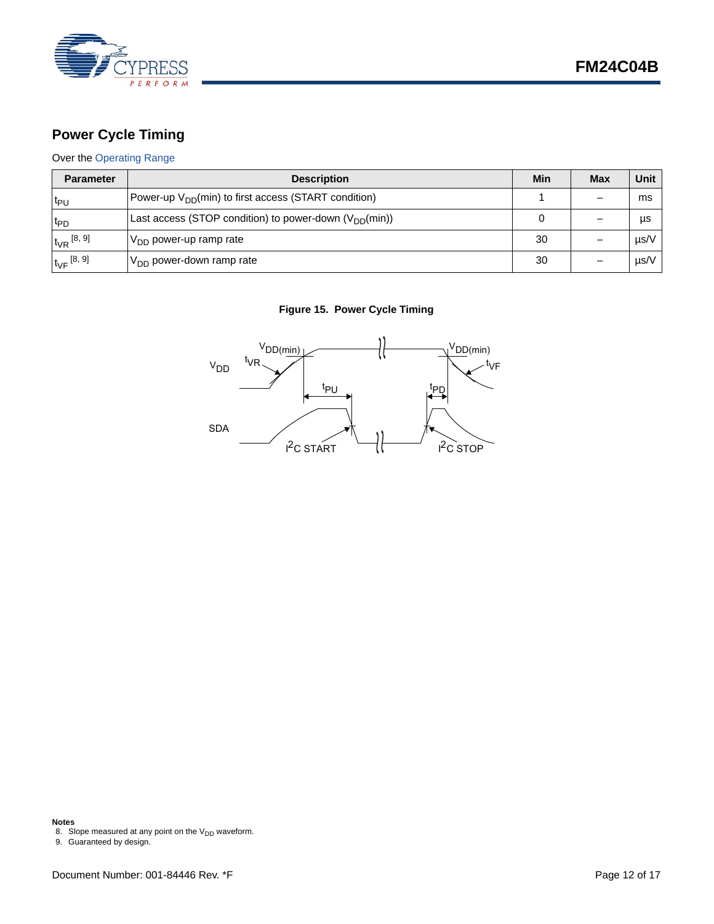

## <span id="page-11-0"></span>**Power Cycle Timing**

#### Over the [Operating Range](#page-8-1)

| <b>Parameter</b>    | <b>Description</b>                                               | Min | <b>Max</b> | Unit      |
|---------------------|------------------------------------------------------------------|-----|------------|-----------|
| $t_{PU}$            | Power-up V <sub>DD</sub> (min) to first access (START condition) |     |            | ms        |
| t <sub>PD</sub>     | Last access (STOP condition) to power-down $(V_{DD}(min))$       |     |            | μs        |
| $t_{VR}$ [8, 9]     | $V_{DD}$ power-up ramp rate                                      | 30  |            | $\mu$ s/V |
| $t_{\rm VF}$ [8, 9] | $V_{DD}$ power-down ramp rate                                    | 30  |            | µs/V      |

#### **Figure 15. Power Cycle Timing**



#### **Notes**

<span id="page-11-2"></span>8. Slope measured at any point on the  $V_{DD}$  waveform.

<span id="page-11-1"></span><sup>9.</sup> Guaranteed by design.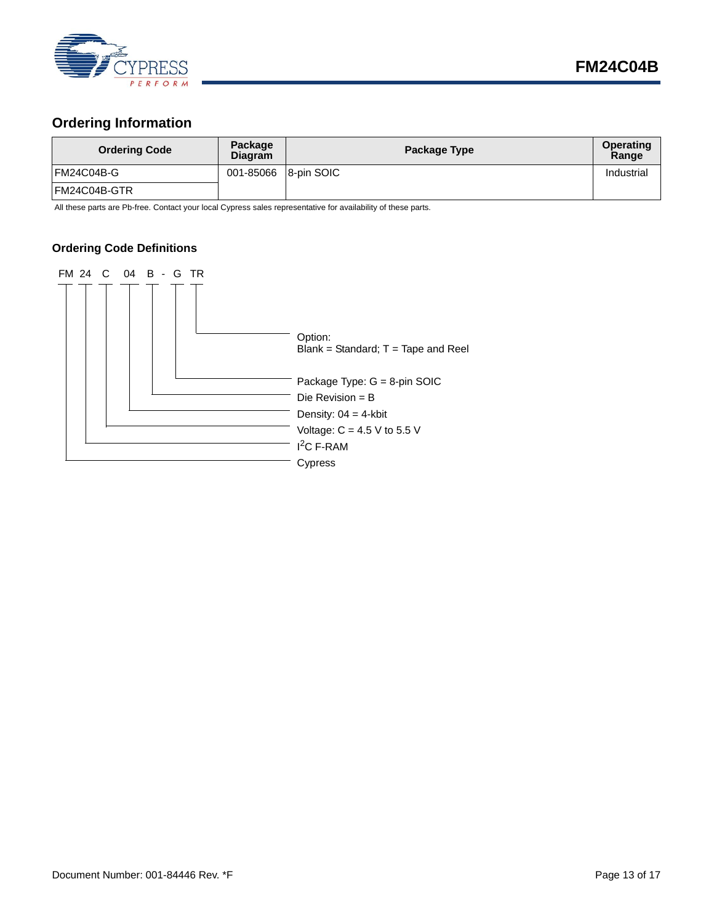

### <span id="page-12-0"></span>**Ordering Information**

| <b>Ordering Code</b> | Package<br><b>Diagram</b> | Package Type | Operating<br>Range |
|----------------------|---------------------------|--------------|--------------------|
| FM24C04B-G           | 001-85066 8-pin SOIC      |              | Industrial         |
| FM24C04B-GTR         |                           |              |                    |

All these parts are Pb-free. Contact your local Cypress sales representative for availability of these parts.

#### <span id="page-12-1"></span>**Ordering Code Definitions**

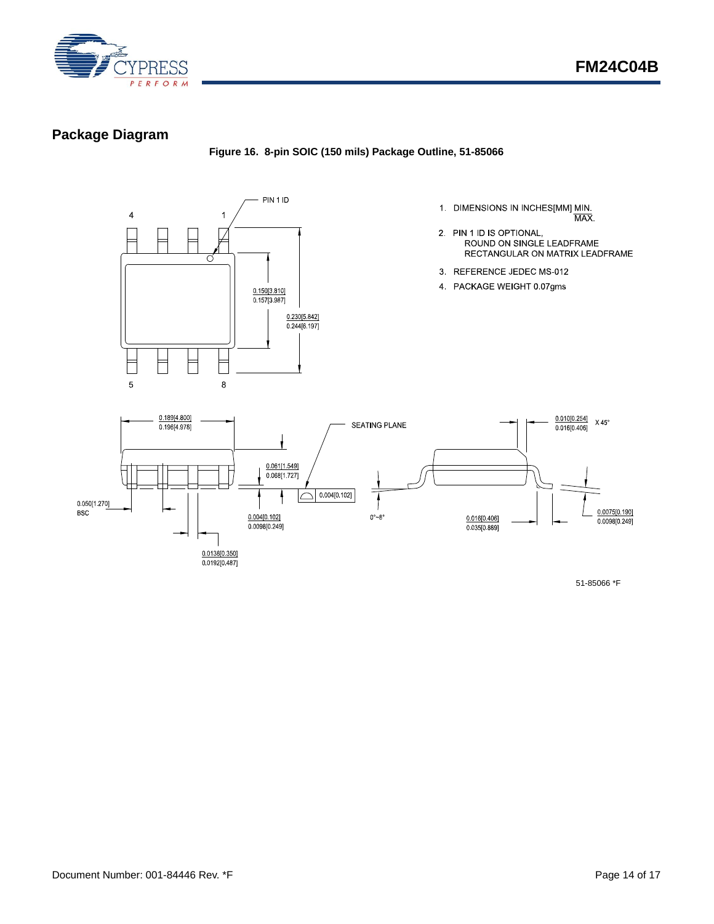

### <span id="page-13-0"></span>**Package Diagram**

**Figure 16. 8-pin SOIC (150 mils) Package Outline, 51-85066**



- 1. DIMENSIONS IN INCHES $[MM]$  MIN.<br> $\overline{MAX}$ .
- 2. PIN 1 ID IS OPTIONAL, ROUND ON SINGLE LEADFRAME RECTANGULAR ON MATRIX LEADFRAME
- 3 REFERENCE JEDEC MS-012
- 4 PACKAGE WEIGHT 0.07gms



51-85066 \*F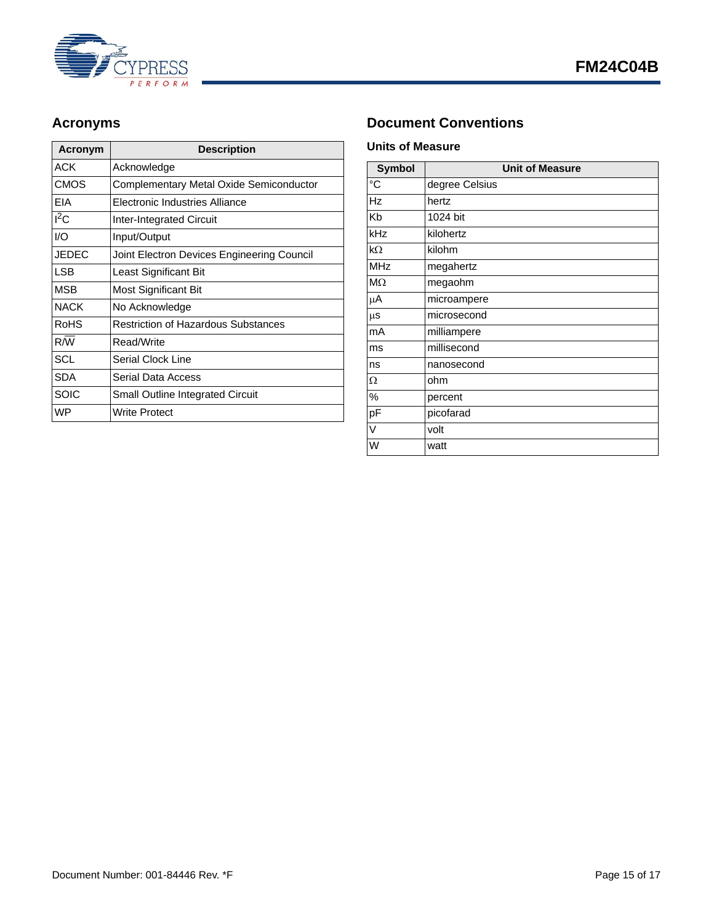

| Acronym     | <b>Description</b>                         |  |
|-------------|--------------------------------------------|--|
| ACK         | Acknowledge                                |  |
| CMOS        | Complementary Metal Oxide Semiconductor    |  |
| EIA         | Electronic Industries Alliance             |  |
| $I^2C$      | <b>Inter-Integrated Circuit</b>            |  |
| I/O         | Input/Output                               |  |
| JEDEC       | Joint Electron Devices Engineering Council |  |
| <b>LSB</b>  | Least Significant Bit                      |  |
| MSB         | Most Significant Bit                       |  |
| <b>NACK</b> | No Acknowledge                             |  |
| RoHS        | <b>Restriction of Hazardous Substances</b> |  |
| R/W         | Read/Write                                 |  |
| <b>SCL</b>  | Serial Clock Line                          |  |
| <b>SDA</b>  | Serial Data Access                         |  |
| SOIC        | <b>Small Outline Integrated Circuit</b>    |  |
| <b>WP</b>   | Write Protect                              |  |

### <span id="page-14-0"></span>Acronyms **Document Conventions**

#### <span id="page-14-2"></span><span id="page-14-1"></span>**Units of Measure**

| <b>Symbol</b>  | <b>Unit of Measure</b> |  |
|----------------|------------------------|--|
| $\overline{C}$ | degree Celsius         |  |
| <b>Hz</b>      | hertz                  |  |
| Kb             | 1024 bit               |  |
| kHz            | kilohertz              |  |
| $k\Omega$      | kilohm                 |  |
| <b>MHz</b>     | megahertz              |  |
| $M\Omega$      | megaohm                |  |
| μA             | microampere            |  |
| $\mu$ s        | microsecond            |  |
| mA             | milliampere            |  |
| ms             | millisecond            |  |
| ns             | nanosecond             |  |
| Ω              | ohm                    |  |
| %              | percent                |  |
| pF             | picofarad              |  |
| V              | volt                   |  |
| W              | watt                   |  |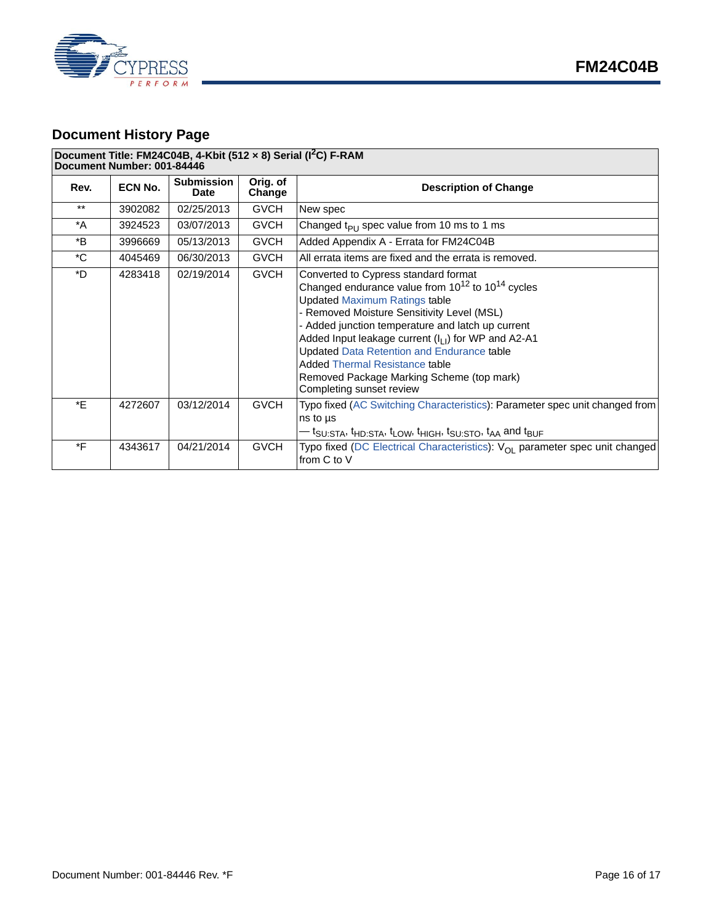



### <span id="page-15-0"></span>**Document History Page**

#### **Document Title: FM24C04B, 4-Kbit (512 × 8) Serial (I2C) F-RAM**

**Document Number: 001-84446**

| Rev.        | ECN No. | <b>Submission</b><br><b>Date</b> | Orig. of<br>Change | <b>Description of Change</b>                                                                                                                                                                                                                                                                                                                                                                                                                                                            |  |
|-------------|---------|----------------------------------|--------------------|-----------------------------------------------------------------------------------------------------------------------------------------------------------------------------------------------------------------------------------------------------------------------------------------------------------------------------------------------------------------------------------------------------------------------------------------------------------------------------------------|--|
| $***$       | 3902082 | 02/25/2013                       | <b>GVCH</b>        | New spec                                                                                                                                                                                                                                                                                                                                                                                                                                                                                |  |
| $^*A$       | 3924523 | 03/07/2013                       | <b>GVCH</b>        | Changed $t_{PI}$ spec value from 10 ms to 1 ms                                                                                                                                                                                                                                                                                                                                                                                                                                          |  |
| *B          | 3996669 | 05/13/2013                       | <b>GVCH</b>        | Added Appendix A - Errata for FM24C04B                                                                                                                                                                                                                                                                                                                                                                                                                                                  |  |
| $^{\ast}$ C | 4045469 | 06/30/2013                       | <b>GVCH</b>        | All errata items are fixed and the errata is removed.                                                                                                                                                                                                                                                                                                                                                                                                                                   |  |
| *D          | 4283418 | 02/19/2014                       | <b>GVCH</b>        | Converted to Cypress standard format<br>Changed endurance value from $10^{12}$ to $10^{14}$ cycles<br><b>Updated Maximum Ratings table</b><br>- Removed Moisture Sensitivity Level (MSL)<br>- Added junction temperature and latch up current<br>Added Input leakage current (I <sub>LI</sub> ) for WP and A2-A1<br><b>Updated Data Retention and Endurance table</b><br><b>Added Thermal Resistance table</b><br>Removed Package Marking Scheme (top mark)<br>Completing sunset review |  |
| *E          | 4272607 | 03/12/2014                       | <b>GVCH</b>        | Typo fixed (AC Switching Characteristics): Parameter spec unit changed from<br>ns to us<br>$-$ t $_{\rm SU}$ $_{\rm STA}$ , t $_{\rm HD}$ $_{\rm STA}$ , t $_{\rm I}$ $_{\rm GW}$ , t $_{\rm HIGH}$ , t $_{\rm SUSTO}$ , t $_{\rm AA}$ and t $_{\rm BUF}$                                                                                                                                                                                                                               |  |
| *F          | 4343617 | 04/21/2014                       | <b>GVCH</b>        | Typo fixed (DC Electrical Characteristics): V <sub>OI</sub> parameter spec unit changed<br>from C to V                                                                                                                                                                                                                                                                                                                                                                                  |  |